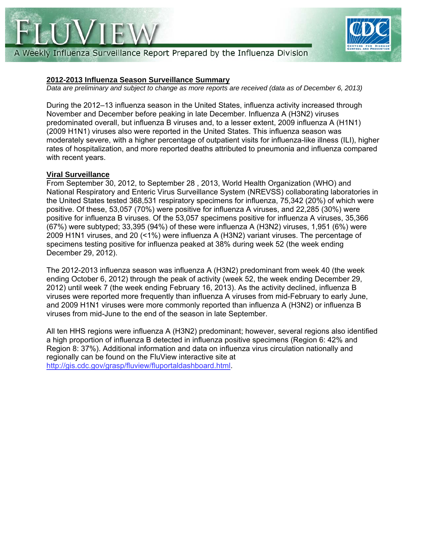



A Weekly Influenza Surveillance Report Prepared by the Influenza Division

## **2012-2013 Influenza Season Surveillance Summary**

*Data are preliminary and subject to change as more reports are received (data as of December 6, 2013)* 

During the 2012–13 influenza season in the United States, influenza activity increased through November and December before peaking in late December. Influenza A (H3N2) viruses predominated overall, but influenza B viruses and, to a lesser extent, 2009 influenza A (H1N1) (2009 H1N1) viruses also were reported in the United States. This influenza season was moderately severe, with a higher percentage of outpatient visits for influenza-like illness (ILI), higher rates of hospitalization, and more reported deaths attributed to pneumonia and influenza compared with recent years.

#### **Viral Surveillance**

From September 30, 2012, to September 28 , 2013, World Health Organization (WHO) and National Respiratory and Enteric Virus Surveillance System (NREVSS) collaborating laboratories in the United States tested 368,531 respiratory specimens for influenza, 75,342 (20%) of which were positive. Of these, 53,057 (70%) were positive for influenza A viruses, and 22,285 (30%) were positive for influenza B viruses. Of the 53,057 specimens positive for influenza A viruses, 35,366 (67%) were subtyped; 33,395 (94%) of these were influenza A (H3N2) viruses, 1,951 (6%) were 2009 H1N1 viruses, and 20 (<1%) were influenza A (H3N2) variant viruses. The percentage of specimens testing positive for influenza peaked at 38% during week 52 (the week ending December 29, 2012).

The 2012-2013 influenza season was influenza A (H3N2) predominant from week 40 (the week ending October 6, 2012) through the peak of activity (week 52, the week ending December 29, 2012) until week 7 (the week ending February 16, 2013). As the activity declined, influenza B viruses were reported more frequently than influenza A viruses from mid-February to early June, and 2009 H1N1 viruses were more commonly reported than influenza A (H3N2) or influenza B viruses from mid-June to the end of the season in late September.

All ten HHS regions were influenza A (H3N2) predominant; however, several regions also identified a high proportion of influenza B detected in influenza positive specimens (Region 6: 42% and Region 8: 37%). Additional information and data on influenza virus circulation nationally and regionally can be found on the FluView interactive site at http://gis.cdc.gov/grasp/fluview/fluportaldashboard.html.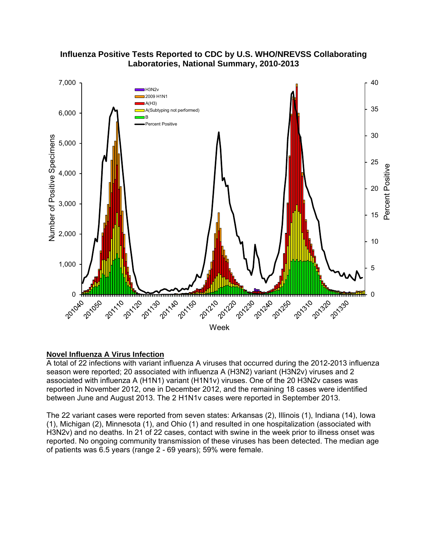## **Influenza Positive Tests Reported to CDC by U.S. WHO/NREVSS Collaborating Laboratories, National Summary, 2010-2013**



#### **Novel Influenza A Virus Infection**

A total of 22 infections with variant influenza A viruses that occurred during the 2012-2013 influenza season were reported; 20 associated with influenza A (H3N2) variant (H3N2v) viruses and 2 associated with influenza A (H1N1) variant (H1N1v) viruses. One of the 20 H3N2v cases was reported in November 2012, one in December 2012, and the remaining 18 cases were identified between June and August 2013. The 2 H1N1v cases were reported in September 2013.

The 22 variant cases were reported from seven states: Arkansas (2), Illinois (1), Indiana (14), Iowa (1), Michigan (2), Minnesota (1), and Ohio (1) and resulted in one hospitalization (associated with H3N2v) and no deaths. In 21 of 22 cases, contact with swine in the week prior to illness onset was reported. No ongoing community transmission of these viruses has been detected. The median age of patients was 6.5 years (range 2 - 69 years); 59% were female.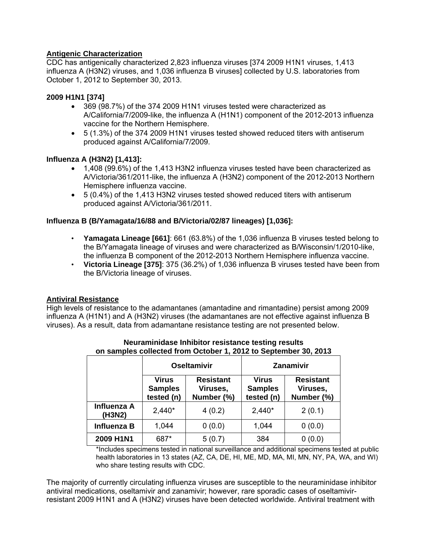## **Antigenic Characterization**

CDC has antigenically characterized 2,823 influenza viruses [374 2009 H1N1 viruses, 1,413 influenza A (H3N2) viruses, and 1,036 influenza B viruses] collected by U.S. laboratories from October 1, 2012 to September 30, 2013.

## **2009 H1N1 [374]**

- 369 (98.7%) of the 374 2009 H1N1 viruses tested were characterized as A/California/7/2009-like, the influenza A (H1N1) component of the 2012-2013 influenza vaccine for the Northern Hemisphere.
- 5 (1.3%) of the 374 2009 H1N1 viruses tested showed reduced titers with antiserum produced against A/California/7/2009.

#### **Influenza A (H3N2) [1,413]:**

- 1,408 (99.6%) of the 1,413 H3N2 influenza viruses tested have been characterized as A/Victoria/361/2011-like, the influenza A (H3N2) component of the 2012-2013 Northern Hemisphere influenza vaccine.
- 5 (0.4%) of the 1,413 H3N2 viruses tested showed reduced titers with antiserum produced against A/Victoria/361/2011.

## **Influenza B (B/Yamagata/16/88 and B/Victoria/02/87 lineages) [1,036]:**

- **Yamagata Lineage [661]**: 661 (63.8%) of the 1,036 influenza B viruses tested belong to the B/Yamagata lineage of viruses and were characterized as B/Wisconsin/1/2010-like, the influenza B component of the 2012-2013 Northern Hemisphere influenza vaccine.
- **Victoria Lineage [375]**: 375 (36.2%) of 1,036 influenza B viruses tested have been from the B/Victoria lineage of viruses.

#### **Antiviral Resistance**

High levels of resistance to the adamantanes (amantadine and rimantadine) persist among 2009 influenza A (H1N1) and A (H3N2) viruses (the adamantanes are not effective against influenza B viruses). As a result, data from adamantane resistance testing are not presented below.

|                       | <b>Oseltamivir</b>                           |                                            | <b>Zanamivir</b>                             |                                            |
|-----------------------|----------------------------------------------|--------------------------------------------|----------------------------------------------|--------------------------------------------|
|                       | <b>Virus</b><br><b>Samples</b><br>tested (n) | <b>Resistant</b><br>Viruses,<br>Number (%) | <b>Virus</b><br><b>Samples</b><br>tested (n) | <b>Resistant</b><br>Viruses,<br>Number (%) |
| Influenza A<br>(H3N2) | $2,440*$                                     | 4(0.2)                                     | $2,440*$                                     | 2(0.1)                                     |
| <b>Influenza B</b>    | 1,044                                        | 0(0.0)                                     | 1,044                                        | 0(0.0)                                     |
| 2009 H1N1             | 687*                                         | 5(0.7)                                     | 384                                          | (0.0)                                      |

#### **Neuraminidase Inhibitor resistance testing results on samples collected from October 1, 2012 to September 30, 2013**

\*Includes specimens tested in national surveillance and additional specimens tested at public health laboratories in 13 states (AZ, CA, DE, HI, ME, MD, MA, MI, MN, NY, PA, WA, and WI) who share testing results with CDC.

The majority of currently circulating influenza viruses are susceptible to the neuraminidase inhibitor antiviral medications, oseltamivir and zanamivir; however, rare sporadic cases of oseltamivirresistant 2009 H1N1 and A (H3N2) viruses have been detected worldwide. Antiviral treatment with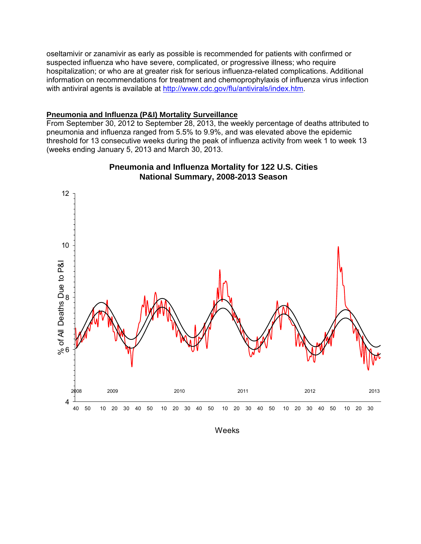oseltamivir or zanamivir as early as possible is recommended for patients with confirmed or suspected influenza who have severe, complicated, or progressive illness; who require hospitalization; or who are at greater risk for serious influenza-related complications. Additional information on recommendations for treatment and chemoprophylaxis of influenza virus infection with antiviral agents is available at http://www.cdc.gov/flu/antivirals/index.htm.

#### **Pneumonia and Influenza (P&I) Mortality Surveillance**

From September 30, 2012 to September 28, 2013, the weekly percentage of deaths attributed to pneumonia and influenza ranged from 5.5% to 9.9%, and was elevated above the epidemic threshold for 13 consecutive weeks during the peak of influenza activity from week 1 to week 13 (weeks ending January 5, 2013 and March 30, 2013.



## **Pneumonia and Influenza Mortality for 122 U.S. Cities National Summary, 2008-2013 Season**

Weeks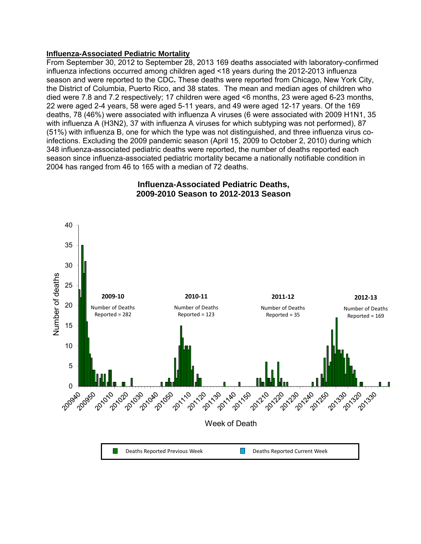#### **Influenza-Associated Pediatric Mortality**

From September 30, 2012 to September 28, 2013 169 deaths associated with laboratory-confirmed influenza infections occurred among children aged <18 years during the 2012-2013 influenza season and were reported to the CDC**.** These deaths were reported from Chicago, New York City, the District of Columbia, Puerto Rico, and 38 states. The mean and median ages of children who died were 7.8 and 7.2 respectively; 17 children were aged <6 months, 23 were aged 6-23 months, 22 were aged 2-4 years, 58 were aged 5-11 years, and 49 were aged 12-17 years. Of the 169 deaths, 78 (46%) were associated with influenza A viruses (6 were associated with 2009 H1N1, 35 with influenza A (H3N2), 37 with influenza A viruses for which subtyping was not performed), 87 (51%) with influenza B, one for which the type was not distinguished, and three influenza virus coinfections. Excluding the 2009 pandemic season (April 15, 2009 to October 2, 2010) during which 348 influenza-associated pediatric deaths were reported, the number of deaths reported each season since influenza-associated pediatric mortality became a nationally notifiable condition in 2004 has ranged from 46 to 165 with a median of 72 deaths.



## **Influenza-Associated Pediatric Deaths, 2009-2010 Season to 2012-2013 Season**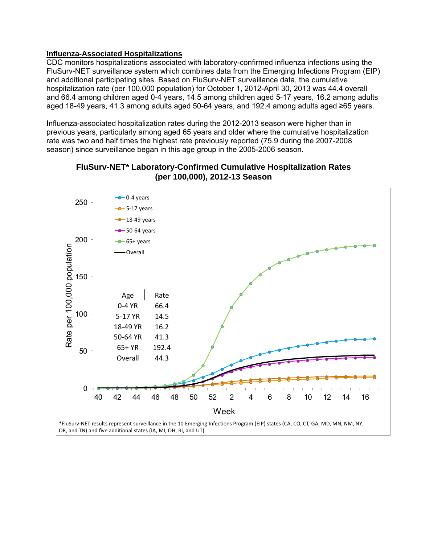#### **Influenza-Associated Hospitalizations**

CDC monitors hospitalizations associated with laboratory-confirmed influenza infections using the FluSurv-NET surveillance system which combines data from the Emerging Infections Program (EIP) and additional participating sites. Based on FluSurv-NET surveillance data, the cumulative hospitalization rate (per 100,000 population) for October 1, 2012-April 30, 2013 was 44.4 overall and 66.4 among children aged 0-4 years, 14.5 among children aged 5-17 years, 16.2 among adults aged 18-49 years, 41.3 among adults aged 50-64 years, and 192.4 among adults aged ≥65 years.

Influenza-associated hospitalization rates during the 2012-2013 season were higher than in previous years, particularly among aged 65 years and older where the cumulative hospitalization rate was two and half times the highest rate previously reported (75.9 during the 2007-2008 season) since surveillance began in this age group in the 2005-2006 season.



## **FluSurv-NET\* Laboratory-Confirmed Cumulative Hospitalization Rates (per 100,000), 2012-13 Season**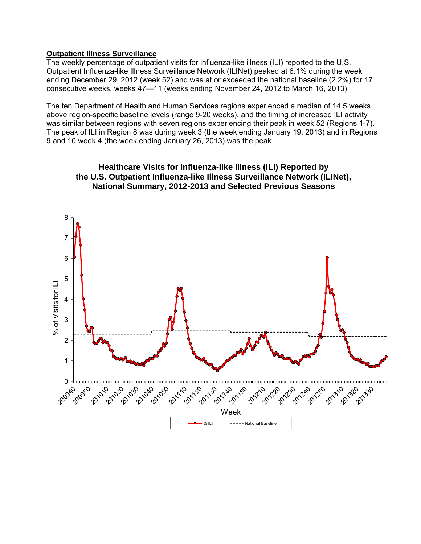#### **Outpatient Illness Surveillance**

The weekly percentage of outpatient visits for influenza-like illness (ILI) reported to the U.S. Outpatient Influenza-like Illness Surveillance Network (ILINet) peaked at 6.1% during the week ending December 29, 2012 (week 52) and was at or exceeded the national baseline (2.2%) for 17 consecutive weeks, weeks 47—11 (weeks ending November 24, 2012 to March 16, 2013).

The ten Department of Health and Human Services regions experienced a median of 14.5 weeks above region-specific baseline levels (range 9-20 weeks), and the timing of increased ILI activity was similar between regions with seven regions experiencing their peak in week 52 (Regions 1-7). The peak of ILI in Region 8 was during week 3 (the week ending January 19, 2013) and in Regions 9 and 10 week 4 (the week ending January 26, 2013) was the peak.



# **Healthcare Visits for Influenza-like Illness (ILI) Reported by the U.S. Outpatient Influenza-like Illness Surveillance Network (ILINet),**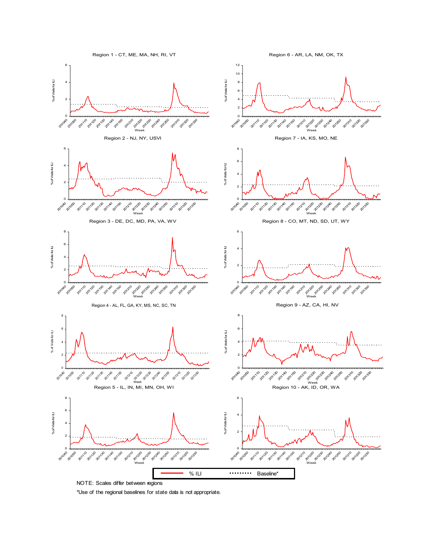

NOTE: Scales differ between regions

\*Use of the regional baselines for state data is not appropriate.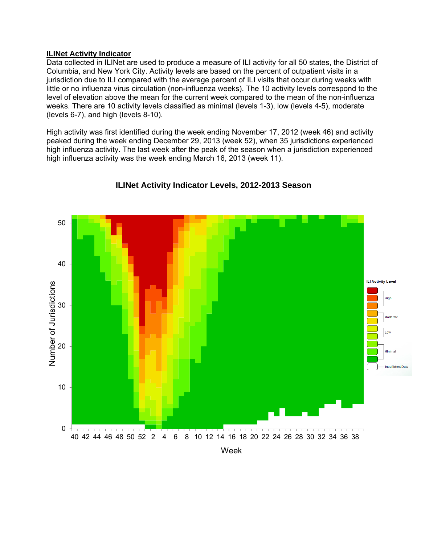#### **ILINet Activity Indicator**

Data collected in ILINet are used to produce a measure of ILI activity for all 50 states, the District of Columbia, and New York City. Activity levels are based on the percent of outpatient visits in a jurisdiction due to ILI compared with the average percent of ILI visits that occur during weeks with little or no influenza virus circulation (non-influenza weeks). The 10 activity levels correspond to the level of elevation above the mean for the current week compared to the mean of the non-influenza weeks. There are 10 activity levels classified as minimal (levels 1-3), low (levels 4-5), moderate (levels 6-7), and high (levels 8-10).

High activity was first identified during the week ending November 17, 2012 (week 46) and activity peaked during the week ending December 29, 2013 (week 52), when 35 jurisdictions experienced high influenza activity. The last week after the peak of the season when a jurisdiction experienced high influenza activity was the week ending March 16, 2013 (week 11).



## **ILINet Activity Indicator Levels, 2012-2013 Season**